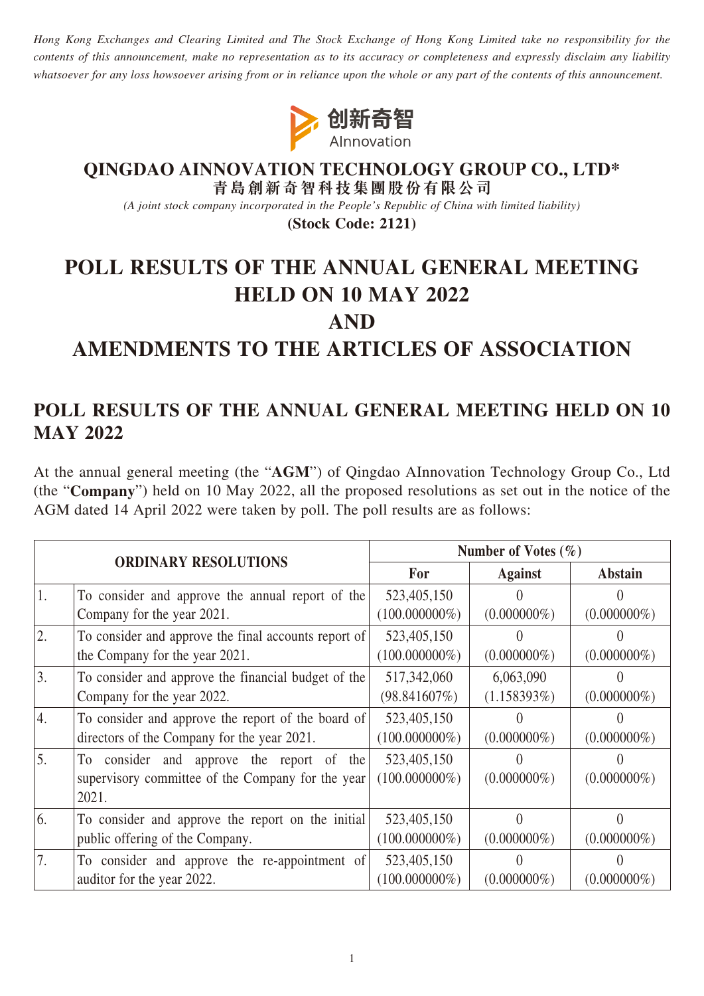*Hong Kong Exchanges and Clearing Limited and The Stock Exchange of Hong Kong Limited take no responsibility for the contents of this announcement, make no representation as to its accuracy or completeness and expressly disclaim any liability whatsoever for any loss howsoever arising from or in reliance upon the whole or any part of the contents of this announcement.*



#### **QINGDAO AINNOVATION TECHNOLOGY GROUP CO., LTD\* 青島創新奇智科技集團股份有限公司**

*(A joint stock company incorporated in the People's Republic of China with limited liability)*

**(Stock Code: 2121)**

# **POLL RESULTS OF THE ANNUAL GENERAL MEETING HELD ON 10 MAY 2022 AND**

# **AMENDMENTS TO THE ARTICLES OF ASSOCIATION**

## **POLL RESULTS OF THE ANNUAL GENERAL MEETING HELD ON 10 MAY 2022**

At the annual general meeting (the "**AGM**") of Qingdao AInnovation Technology Group Co., Ltd (the "**Company**") held on 10 May 2022, all the proposed resolutions as set out in the notice of the AGM dated 14 April 2022 were taken by poll. The poll results are as follows:

| <b>ORDINARY RESOLUTIONS</b> |                                                      | Number of Votes $(\% )$ |                |                |
|-----------------------------|------------------------------------------------------|-------------------------|----------------|----------------|
|                             |                                                      | For                     | <b>Against</b> | <b>Abstain</b> |
| 1.                          | To consider and approve the annual report of the     | 523,405,150             |                |                |
|                             | Company for the year 2021.                           | $(100.000000\%)$        | $(0.000000\%)$ | $(0.000000\%)$ |
| 2.                          | To consider and approve the final accounts report of | 523,405,150             |                |                |
|                             | the Company for the year 2021.                       | $(100.000000\%)$        | $(0.000000\%)$ | $(0.000000\%)$ |
| 3.                          | To consider and approve the financial budget of the  | 517,342,060             | 6,063,090      |                |
|                             | Company for the year 2022.                           | (98.841607%)            | $(1.158393\%)$ | $(0.000000\%)$ |
| 4.                          | To consider and approve the report of the board of   | 523,405,150             |                |                |
|                             | directors of the Company for the year 2021.          | $(100.000000\%)$        | $(0.000000\%)$ | $(0.000000\%)$ |
| 5.                          | To consider and approve the report of the            | 523,405,150             |                |                |
|                             | supervisory committee of the Company for the year    | $(100.000000\%)$        | $(0.000000\%)$ | $(0.000000\%)$ |
|                             | 2021.                                                |                         |                |                |
| 6.                          | To consider and approve the report on the initial    | 523,405,150             |                |                |
|                             | public offering of the Company.                      | $(100.000000\%)$        | $(0.000000\%)$ | $(0.000000\%)$ |
| 7.                          | To consider and approve the re-appointment of        | 523,405,150             |                |                |
|                             | auditor for the year 2022.                           | $(100.000000\%)$        | $(0.000000\%)$ | $(0.000000\%)$ |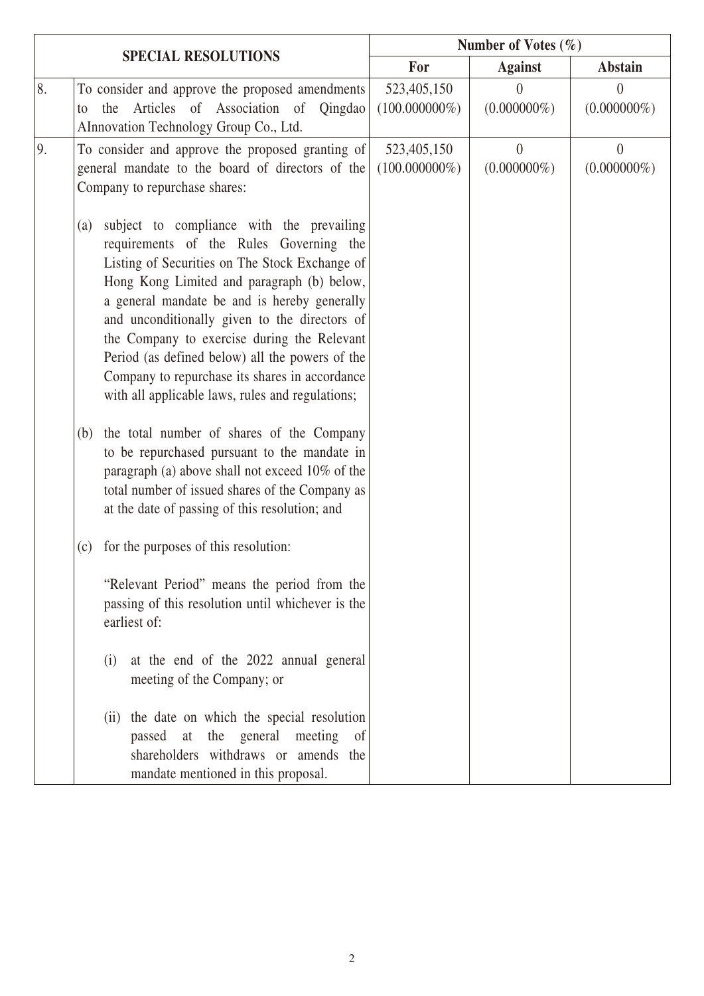|    |                                                                                                                                                                                                                                                                                                                                                                                                                                                                                                                                                                                                                                                                                                                | Number of Votes $(\% )$         |                                    |                            |
|----|----------------------------------------------------------------------------------------------------------------------------------------------------------------------------------------------------------------------------------------------------------------------------------------------------------------------------------------------------------------------------------------------------------------------------------------------------------------------------------------------------------------------------------------------------------------------------------------------------------------------------------------------------------------------------------------------------------------|---------------------------------|------------------------------------|----------------------------|
|    | <b>SPECIAL RESOLUTIONS</b>                                                                                                                                                                                                                                                                                                                                                                                                                                                                                                                                                                                                                                                                                     | For                             | <b>Against</b>                     | <b>Abstain</b>             |
| 8. | To consider and approve the proposed amendments<br>the Articles of Association of Qingdao<br>to<br>AInnovation Technology Group Co., Ltd.                                                                                                                                                                                                                                                                                                                                                                                                                                                                                                                                                                      | 523,405,150<br>$(100.000000\%)$ | $\left( \right)$<br>$(0.000000\%)$ | $\theta$<br>$(0.000000\%)$ |
| 9. | To consider and approve the proposed granting of<br>general mandate to the board of directors of the<br>Company to repurchase shares:                                                                                                                                                                                                                                                                                                                                                                                                                                                                                                                                                                          | 523,405,150<br>$(100.000000\%)$ | $\overline{0}$<br>$(0.000000\%)$   | $\theta$<br>$(0.000000\%)$ |
|    | subject to compliance with the prevailing<br>(a)<br>requirements of the Rules Governing the<br>Listing of Securities on The Stock Exchange of<br>Hong Kong Limited and paragraph (b) below,<br>a general mandate be and is hereby generally<br>and unconditionally given to the directors of<br>the Company to exercise during the Relevant<br>Period (as defined below) all the powers of the<br>Company to repurchase its shares in accordance<br>with all applicable laws, rules and regulations;<br>the total number of shares of the Company<br>(b)<br>to be repurchased pursuant to the mandate in<br>paragraph (a) above shall not exceed 10% of the<br>total number of issued shares of the Company as |                                 |                                    |                            |
|    | at the date of passing of this resolution; and<br>for the purposes of this resolution:<br>(c)                                                                                                                                                                                                                                                                                                                                                                                                                                                                                                                                                                                                                  |                                 |                                    |                            |
|    | "Relevant Period" means the period from the<br>passing of this resolution until whichever is the<br>earliest of:                                                                                                                                                                                                                                                                                                                                                                                                                                                                                                                                                                                               |                                 |                                    |                            |
|    | at the end of the 2022 annual general<br>(i)<br>meeting of the Company; or                                                                                                                                                                                                                                                                                                                                                                                                                                                                                                                                                                                                                                     |                                 |                                    |                            |
|    | (ii) the date on which the special resolution<br>the general<br>meeting<br>passed<br>at<br>of<br>shareholders withdraws or amends the<br>mandate mentioned in this proposal.                                                                                                                                                                                                                                                                                                                                                                                                                                                                                                                                   |                                 |                                    |                            |